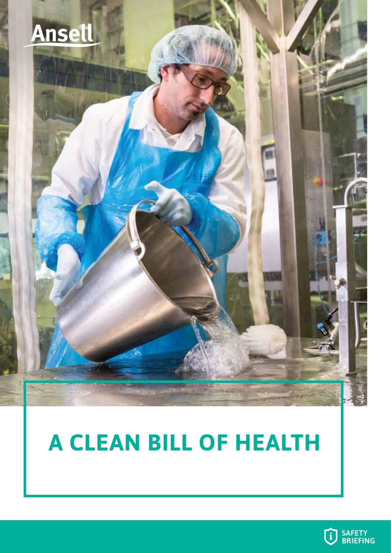

# **A CLEAN BILL OF HEALTH**

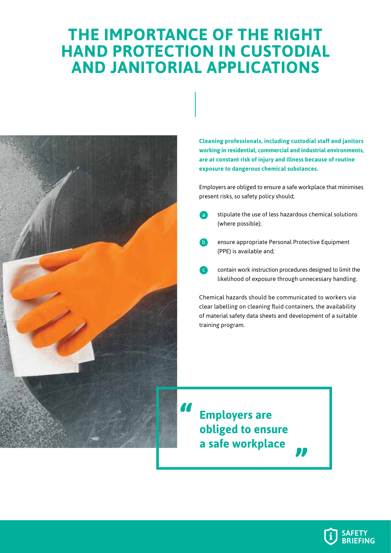### **THE IMPORTANCE OF THE RIGHT HAND PROTECTION IN CUSTODIAL AND JANITORIAL APPLICATIONS**

a



**Cleaning professionals, including custodial staff and janitors working in residential, commercial and industrial environments, are at constant risk of injury and illness because of routine exposure to dangerous chemical substances.** 

Employers are obliged to ensure a safe workplace that minimises present risks, so safety policy should;

- stipulate the use of less hazardous chemical solutions (where possible);
- ensure appropriate Personal Protective Equipment (PPE) is available and; b
- contain work instruction procedures designed to limit the likelihood of exposure through unnecessary handling. **c**

Chemical hazards should be communicated to workers via clear labelling on cleaning fluid containers, the availability of material safety data sheets and development of a suitable training program.

L

**Employers are obliged to ensure a safe workplace**

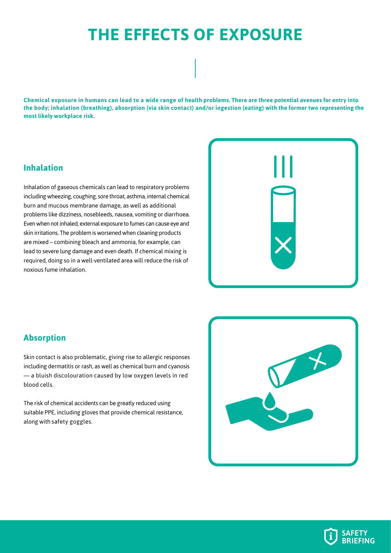### **THE EFFECTS OF EXPOSURE**

**Chemical exposure in humans can lead to a wide range of health problems. There are three potential avenues for entry into the body; inhalation (breathing), absorption (via skin contact) and/or ingestion (eating) with the former two representing the most likely workplace risk.** 

#### **Inhalation**

Inhalation of gaseous chemicals can lead to respiratory problems including wheezing, coughing, sore throat, asthma, internal chemical burn and mucous membrane damage, as well as additional problems like dizziness, nosebleeds, nausea, vomiting or diarrhoea. Even when not inhaled, external exposure to fumes can cause eye and skin irritations. The problem is worsened when cleaning products are mixed – combining bleach and ammonia, for example, can lead to severe lung damage and even death. If chemical mixing is required, doing so in a well-ventilated area will reduce the risk of noxious fume inhalation.



#### **Absorption**

Skin contact is also problematic, giving rise to allergic responses including dermatitis or rash, as well as chemical burn and cyanosis — a bluish discolouration caused by low oxygen levels in red blood cells.

The risk of chemical accidents can be greatly reduced using suitable PPE, including gloves that provide chemical resistance, along with safety goggles.



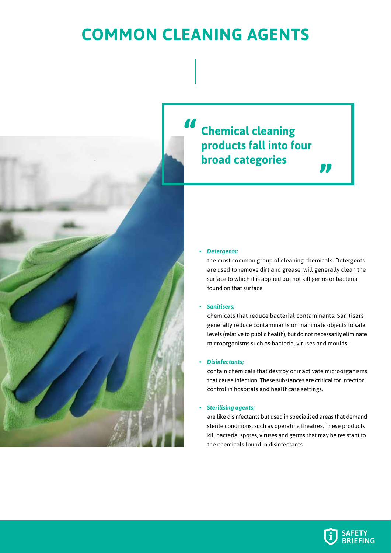### **COMMON CLEANING AGENTS**



### **Chemical cleaning products fall into four broad categories**

#### • *Detergents;*

the most common group of cleaning chemicals. Detergents are used to remove dirt and grease, will generally clean the surface to which it is applied but not kill germs or bacteria found on that surface.

m

#### • *Sanitisers;*

chemicals that reduce bacterial contaminants. Sanitisers generally reduce contaminants on inanimate objects to safe levels (relative to public health), but do not necessarily eliminate microorganisms such as bacteria, viruses and moulds.

#### • *Disinfectants;*

contain chemicals that destroy or inactivate microorganisms that cause infection. These substances are critical for infection control in hospitals and healthcare settings.

#### • *Sterilising agents;*

are like disinfectants but used in specialised areas that demand sterile conditions, such as operating theatres. These products kill bacterial spores, viruses and germs that may be resistant to the chemicals found in disinfectants.

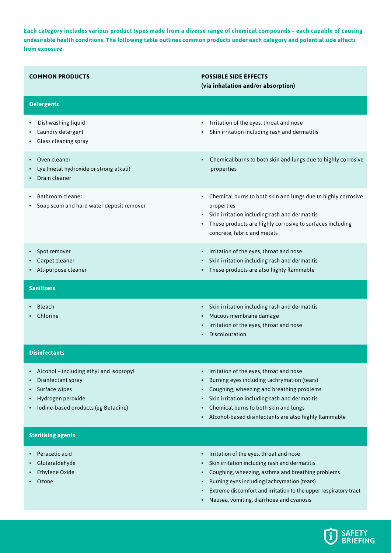**Each category includes various product types made from a diverse range of chemical compounds – each capable of causing undesirable health conditions. The following table outlines common products under each category and potential side effects from exposure.** 

| <b>COMMON PRODUCTS</b>                                                                                                                     | <b>POSSIBLE SIDE EFFECTS</b><br>(via inhalation and/or absorption)                                                                                                                                                                                                                     |
|--------------------------------------------------------------------------------------------------------------------------------------------|----------------------------------------------------------------------------------------------------------------------------------------------------------------------------------------------------------------------------------------------------------------------------------------|
| <b>Detergents</b>                                                                                                                          |                                                                                                                                                                                                                                                                                        |
| Dishwashing liquid<br>Laundry detergent<br>Glass cleaning spray                                                                            | Irritation of the eyes, throat and nose<br>$\bullet$<br>Skin irritation including rash and dermatitis                                                                                                                                                                                  |
| Oven cleaner<br>Lye (metal hydroxide or strong alkali)<br>Drain cleaner                                                                    | Chemical burns to both skin and lungs due to highly corrosive<br>$\bullet$<br>properties                                                                                                                                                                                               |
| Bathroom cleaner<br>Soap scum and hard water deposit remover                                                                               | Chemical burns to both skin and lungs due to highly corrosive<br>$\bullet$<br>properties<br>Skin irritation including rash and dermatitis<br>These products are highly corrosive to surfaces including<br>$\bullet$<br>concrete, fabric and metals                                     |
| Spot remover<br>Carpet cleaner<br>All-purpose cleaner                                                                                      | Irritation of the eyes, throat and nose<br>$\bullet$<br>Skin irritation including rash and dermatitis<br>These products are also highly flammable                                                                                                                                      |
| <b>Sanitisers</b>                                                                                                                          |                                                                                                                                                                                                                                                                                        |
|                                                                                                                                            |                                                                                                                                                                                                                                                                                        |
| Bleach<br>Chlorine                                                                                                                         | Skin irritation including rash and dermatitis<br>$\bullet$<br>Mucous membrane damage<br>Irritation of the eyes, throat and nose<br>Discolouration<br>٠                                                                                                                                 |
| <b>Disinfectants</b>                                                                                                                       |                                                                                                                                                                                                                                                                                        |
| Alcohol - including ethyl and isopropyl<br>Disinfectant spray<br>Surface wipes<br>Hydrogen peroxide<br>Iodine-based products (eg Betadine) | Irritation of the eyes, throat and nose<br>Burning eyes including lachrymation (tears)<br>Coughing, wheezing and breathing problems<br>Skin irritation including rash and dermatitis<br>Chemical burns to both skin and lungs<br>Alcohol-based disinfectants are also highly flammable |
| <b>Sterilising agents</b>                                                                                                                  |                                                                                                                                                                                                                                                                                        |

• Nausea, vomiting, diarrhoea and cyanosis

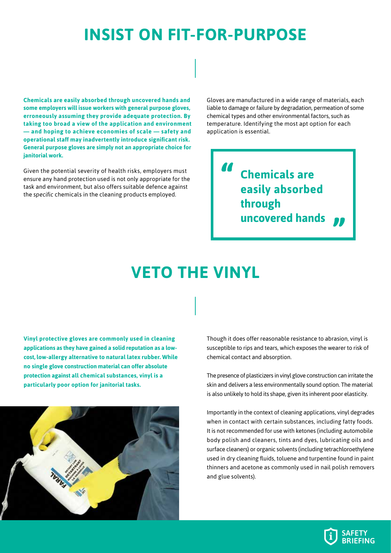### **INSIST ON FIT-FOR-PURPOSE**

**Chemicals are easily absorbed through uncovered hands and some employers will issue workers with general purpose gloves, erroneously assuming they provide adequate protection. By taking too broad a view of the application and environment — and hoping to achieve economies of scale — safety and operational staff may inadvertently introduce significant risk. General purpose gloves are simply not an appropriate choice for janitorial work.** 

Given the potential severity of health risks, employers must ensure any hand protection used is not only appropriate for the task and environment, but also offers suitable defence against the *specific* chemicals in the cleaning products employed.

Gloves are manufactured in a wide range of materials, each liable to damage or failure by degradation, permeation of some chemical types and other environmental factors, such as temperature. Identifying the most apt option for each application is essential.

> **Chemicals are easily absorbed through uncovered hands**

### **VETO THE VINYL**

**Vinyl protective gloves are commonly used in cleaning applications as they have gained a solid reputation as a lowcost, low-allergy alternative to natural latex rubber. While no single glove construction material can offer absolute protection against all chemical substances, vinyl is a particularly poor option for janitorial tasks.** 



Though it does offer reasonable resistance to abrasion, vinyl is susceptible to rips and tears, which exposes the wearer to risk of chemical contact and absorption.

The presence of plasticizers in vinyl glove construction can irritate the skin and delivers a less environmentally sound option. The material is also unlikely to hold its shape, given its inherent poor elasticity.

Importantly in the context of cleaning applications, vinyl degrades when in contact with certain substances, including fatty foods. It is not recommended for use with ketones (including automobile body polish and cleaners, tints and dyes, lubricating oils and surface cleaners) or organic solvents (including tetrachloroethylene used in dry cleaning fluids, toluene and turpentine found in paint thinners and acetone as commonly used in nail polish removers and glue solvents).

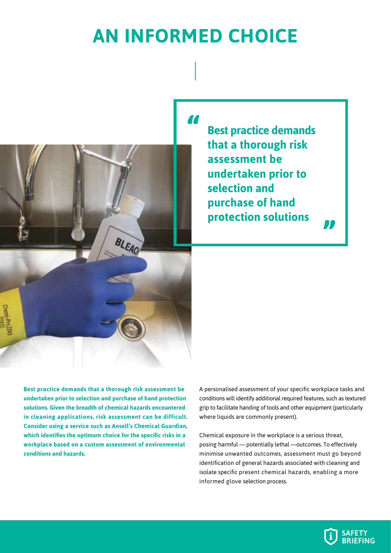## **AN INFORMED CHOICE**



**Best practice demands that a thorough risk assessment be undertaken prior to selection and purchase of hand protection solutions**

**Best practice demands that a thorough risk assessment be undertaken prior to selection and purchase of hand protection solutions. Given the breadth of chemical hazards encountered in cleaning applications, risk assessment can be difficult. Consider using a service such as Ansell's Chemical Guardian, which identifies the optimum choice for the specific risks in a workplace based on a custom assessment of environmental conditions and hazards.** 

BLEACH

A personalised assessment of your specific workplace tasks and conditions will identify additional required features, such as textured grip to facilitate handing of tools and other equipment (particularly where liquids are commonly present).

Chemical exposure in the workplace is a serious threat, posing harmful — potentially lethal —outcomes. To effectively minimise unwanted outcomes, assessment must go beyond identification of general hazards associated with cleaning and isolate specific present chemical hazards, enabling a more informed glove selection process.